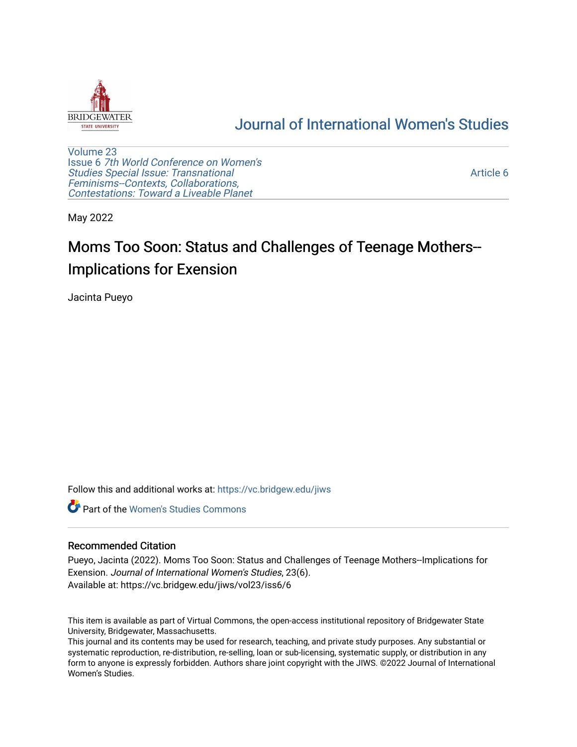

## [Journal of International Women's Studies](https://vc.bridgew.edu/jiws)

[Volume 23](https://vc.bridgew.edu/jiws/vol23) Issue 6 [7th World Conference on Women's](https://vc.bridgew.edu/jiws/vol23/iss6)  [Studies Special Issue: Transnational](https://vc.bridgew.edu/jiws/vol23/iss6)  [Feminisms--Contexts, Collaborations,](https://vc.bridgew.edu/jiws/vol23/iss6)  [Contestations: Toward a Liveable Planet](https://vc.bridgew.edu/jiws/vol23/iss6) 

[Article 6](https://vc.bridgew.edu/jiws/vol23/iss6/6) 

May 2022

# Moms Too Soon: Status and Challenges of Teenage Mothers-- Implications for Exension

Jacinta Pueyo

Follow this and additional works at: [https://vc.bridgew.edu/jiws](https://vc.bridgew.edu/jiws?utm_source=vc.bridgew.edu%2Fjiws%2Fvol23%2Fiss6%2F6&utm_medium=PDF&utm_campaign=PDFCoverPages)

**C** Part of the Women's Studies Commons

#### Recommended Citation

Pueyo, Jacinta (2022). Moms Too Soon: Status and Challenges of Teenage Mothers--Implications for Exension. Journal of International Women's Studies, 23(6). Available at: https://vc.bridgew.edu/jiws/vol23/iss6/6

This item is available as part of Virtual Commons, the open-access institutional repository of Bridgewater State University, Bridgewater, Massachusetts.

This journal and its contents may be used for research, teaching, and private study purposes. Any substantial or systematic reproduction, re-distribution, re-selling, loan or sub-licensing, systematic supply, or distribution in any form to anyone is expressly forbidden. Authors share joint copyright with the JIWS. ©2022 Journal of International Women's Studies.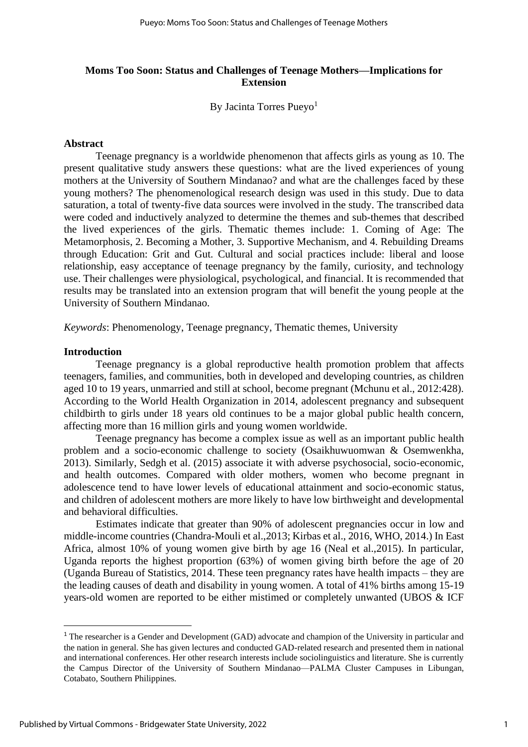## **Moms Too Soon: Status and Challenges of Teenage Mothers—Implications for Extension**

By Jacinta Torres Pueyo<sup>1</sup>

#### **Abstract**

Teenage pregnancy is a worldwide phenomenon that affects girls as young as 10. The present qualitative study answers these questions: what are the lived experiences of young mothers at the University of Southern Mindanao? and what are the challenges faced by these young mothers? The phenomenological research design was used in this study. Due to data saturation, a total of twenty-five data sources were involved in the study. The transcribed data were coded and inductively analyzed to determine the themes and sub-themes that described the lived experiences of the girls. Thematic themes include: 1. Coming of Age: The Metamorphosis, 2. Becoming a Mother, 3. Supportive Mechanism, and 4. Rebuilding Dreams through Education: Grit and Gut. Cultural and social practices include: liberal and loose relationship, easy acceptance of teenage pregnancy by the family, curiosity, and technology use. Their challenges were physiological, psychological, and financial. It is recommended that results may be translated into an extension program that will benefit the young people at the University of Southern Mindanao.

*Keywords*: Phenomenology, Teenage pregnancy, Thematic themes, University

#### **Introduction**

Teenage pregnancy is a global reproductive health promotion problem that affects teenagers, families, and communities, both in developed and developing countries, as children aged 10 to 19 years, unmarried and still at school, become pregnant (Mchunu et al., 2012:428). According to the World Health Organization in 2014, adolescent pregnancy and subsequent childbirth to girls under 18 years old continues to be a major global public health concern, affecting more than 16 million girls and young women worldwide.

Teenage pregnancy has become a complex issue as well as an important public health problem and a socio-economic challenge to society (Osaikhuwuomwan & Osemwenkha, 2013). Similarly, Sedgh et al. (2015) associate it with adverse psychosocial, socio-economic, and health outcomes. Compared with older mothers, women who become pregnant in adolescence tend to have lower levels of educational attainment and socio-economic status, and children of adolescent mothers are more likely to have low birthweight and developmental and behavioral difficulties.

Estimates indicate that greater than 90% of adolescent pregnancies occur in low and middle-income countries (Chandra-Mouli et al.,2013; Kirbas et al., 2016, WHO, 2014.) In East Africa, almost 10% of young women give birth by age 16 (Neal et al.,2015). In particular, Uganda reports the highest proportion (63%) of women giving birth before the age of 20 (Uganda Bureau of Statistics, 2014. These teen pregnancy rates have health impacts – they are the leading causes of death and disability in young women. A total of 41% births among 15-19 years-old women are reported to be either mistimed or completely unwanted (UBOS & ICF

<sup>&</sup>lt;sup>1</sup> The researcher is a Gender and Development (GAD) advocate and champion of the University in particular and the nation in general. She has given lectures and conducted GAD-related research and presented them in national and international conferences. Her other research interests include sociolinguistics and literature. She is currently the Campus Director of the University of Southern Mindanao—PALMA Cluster Campuses in Libungan, Cotabato, Southern Philippines.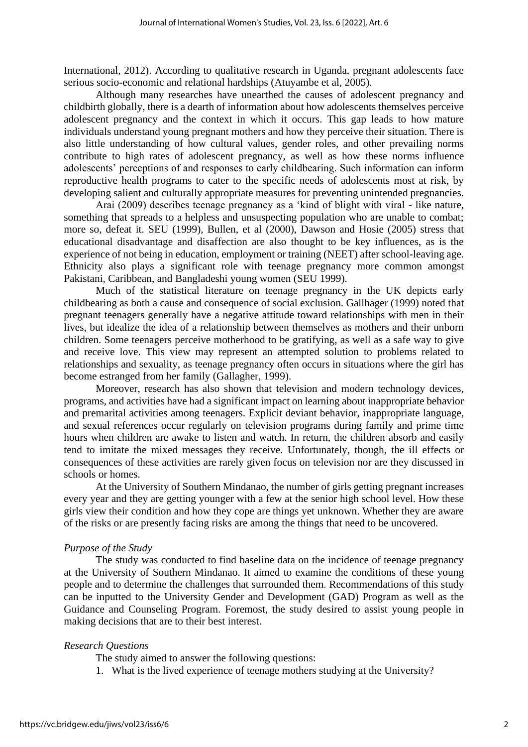International, 2012). According to qualitative research in Uganda, pregnant adolescents face serious socio-economic and relational hardships (Atuyambe et al, 2005).

Although many researches have unearthed the causes of adolescent pregnancy and childbirth globally, there is a dearth of information about how adolescents themselves perceive adolescent pregnancy and the context in which it occurs. This gap leads to how mature individuals understand young pregnant mothers and how they perceive their situation. There is also little understanding of how cultural values, gender roles, and other prevailing norms contribute to high rates of adolescent pregnancy, as well as how these norms influence adolescents' perceptions of and responses to early childbearing. Such information can inform reproductive health programs to cater to the specific needs of adolescents most at risk, by developing salient and culturally appropriate measures for preventing unintended pregnancies.

Arai (2009) describes teenage pregnancy as a 'kind of blight with viral - like nature, something that spreads to a helpless and unsuspecting population who are unable to combat; more so, defeat it. SEU (1999), Bullen, et al (2000), Dawson and Hosie (2005) stress that educational disadvantage and disaffection are also thought to be key influences, as is the experience of not being in education, employment or training (NEET) after school-leaving age. Ethnicity also plays a significant role with teenage pregnancy more common amongst Pakistani, Caribbean, and Bangladeshi young women (SEU 1999).

Much of the statistical literature on teenage pregnancy in the UK depicts early childbearing as both a cause and consequence of social exclusion. Gallhager (1999) noted that pregnant teenagers generally have a negative attitude toward relationships with men in their lives, but idealize the idea of a relationship between themselves as mothers and their unborn children. Some teenagers perceive motherhood to be gratifying, as well as a safe way to give and receive love. This view may represent an attempted solution to problems related to relationships and sexuality, as teenage pregnancy often occurs in situations where the girl has become estranged from her family (Gallagher, 1999).

Moreover, research has also shown that television and modern technology devices, programs, and activities have had a significant impact on learning about inappropriate behavior and premarital activities among teenagers. Explicit deviant behavior, inappropriate language, and sexual references occur regularly on television programs during family and prime time hours when children are awake to listen and watch. In return, the children absorb and easily tend to imitate the mixed messages they receive. Unfortunately, though, the ill effects or consequences of these activities are rarely given focus on television nor are they discussed in schools or homes.

At the University of Southern Mindanao, the number of girls getting pregnant increases every year and they are getting younger with a few at the senior high school level. How these girls view their condition and how they cope are things yet unknown. Whether they are aware of the risks or are presently facing risks are among the things that need to be uncovered.

#### *Purpose of the Study*

The study was conducted to find baseline data on the incidence of teenage pregnancy at the University of Southern Mindanao. It aimed to examine the conditions of these young people and to determine the challenges that surrounded them. Recommendations of this study can be inputted to the University Gender and Development (GAD) Program as well as the Guidance and Counseling Program. Foremost, the study desired to assist young people in making decisions that are to their best interest.

#### *Research Questions*

The study aimed to answer the following questions:

1. What is the lived experience of teenage mothers studying at the University?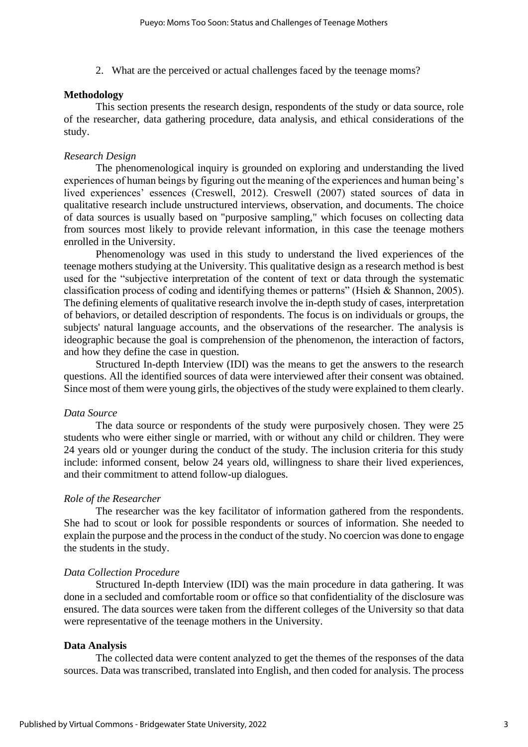2. What are the perceived or actual challenges faced by the teenage moms?

#### **Methodology**

This section presents the research design, respondents of the study or data source, role of the researcher, data gathering procedure, data analysis, and ethical considerations of the study.

#### *Research Design*

The phenomenological inquiry is grounded on exploring and understanding the lived experiences of human beings by figuring out the meaning of the experiences and human being's lived experiences' essences (Creswell, 2012). Creswell (2007) stated sources of data in qualitative research include unstructured interviews, observation, and documents. The choice of data sources is usually based on "purposive sampling," which focuses on collecting data from sources most likely to provide relevant information, in this case the teenage mothers enrolled in the University.

Phenomenology was used in this study to understand the lived experiences of the teenage mothers studying at the University. This qualitative design as a research method is best used for the "subjective interpretation of the content of text or data through the systematic classification process of coding and identifying themes or patterns" (Hsieh & Shannon, 2005). The defining elements of qualitative research involve the in-depth study of cases, interpretation of behaviors, or detailed description of respondents. The focus is on individuals or groups, the subjects' natural language accounts, and the observations of the researcher. The analysis is ideographic because the goal is comprehension of the phenomenon, the interaction of factors, and how they define the case in question.

Structured In-depth Interview (IDI) was the means to get the answers to the research questions. All the identified sources of data were interviewed after their consent was obtained. Since most of them were young girls, the objectives of the study were explained to them clearly.

#### *Data Source*

The data source or respondents of the study were purposively chosen. They were 25 students who were either single or married, with or without any child or children. They were 24 years old or younger during the conduct of the study. The inclusion criteria for this study include: informed consent, below 24 years old, willingness to share their lived experiences, and their commitment to attend follow-up dialogues.

#### *Role of the Researcher*

The researcher was the key facilitator of information gathered from the respondents. She had to scout or look for possible respondents or sources of information. She needed to explain the purpose and the process in the conduct of the study. No coercion was done to engage the students in the study.

#### *Data Collection Procedure*

Structured In-depth Interview (IDI) was the main procedure in data gathering. It was done in a secluded and comfortable room or office so that confidentiality of the disclosure was ensured. The data sources were taken from the different colleges of the University so that data were representative of the teenage mothers in the University.

#### **Data Analysis**

The collected data were content analyzed to get the themes of the responses of the data sources. Data was transcribed, translated into English, and then coded for analysis. The process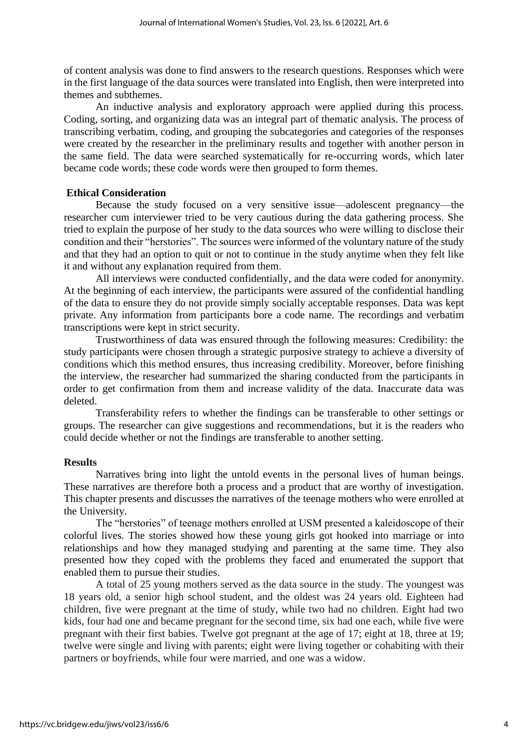of content analysis was done to find answers to the research questions. Responses which were in the first language of the data sources were translated into English, then were interpreted into themes and subthemes.

An inductive analysis and exploratory approach were applied during this process. Coding, sorting, and organizing data was an integral part of thematic analysis. The process of transcribing verbatim, coding, and grouping the subcategories and categories of the responses were created by the researcher in the preliminary results and together with another person in the same field. The data were searched systematically for re-occurring words, which later became code words; these code words were then grouped to form themes.

#### **Ethical Consideration**

Because the study focused on a very sensitive issue—adolescent pregnancy—the researcher cum interviewer tried to be very cautious during the data gathering process. She tried to explain the purpose of her study to the data sources who were willing to disclose their condition and their "herstories". The sources were informed of the voluntary nature of the study and that they had an option to quit or not to continue in the study anytime when they felt like it and without any explanation required from them.

All interviews were conducted confidentially, and the data were coded for anonymity. At the beginning of each interview, the participants were assured of the confidential handling of the data to ensure they do not provide simply socially acceptable responses. Data was kept private. Any information from participants bore a code name. The recordings and verbatim transcriptions were kept in strict security.

Trustworthiness of data was ensured through the following measures: Credibility: the study participants were chosen through a strategic purposive strategy to achieve a diversity of conditions which this method ensures, thus increasing credibility. Moreover, before finishing the interview, the researcher had summarized the sharing conducted from the participants in order to get confirmation from them and increase validity of the data. Inaccurate data was deleted.

Transferability refers to whether the findings can be transferable to other settings or groups. The researcher can give suggestions and recommendations, but it is the readers who could decide whether or not the findings are transferable to another setting.

#### **Results**

Narratives bring into light the untold events in the personal lives of human beings. These narratives are therefore both a process and a product that are worthy of investigation. This chapter presents and discusses the narratives of the teenage mothers who were enrolled at the University.

The "herstories" of teenage mothers enrolled at USM presented a kaleidoscope of their colorful lives. The stories showed how these young girls got hooked into marriage or into relationships and how they managed studying and parenting at the same time. They also presented how they coped with the problems they faced and enumerated the support that enabled them to pursue their studies.

A total of 25 young mothers served as the data source in the study. The youngest was 18 years old, a senior high school student, and the oldest was 24 years old. Eighteen had children, five were pregnant at the time of study, while two had no children. Eight had two kids, four had one and became pregnant for the second time, six had one each, while five were pregnant with their first babies. Twelve got pregnant at the age of 17; eight at 18, three at 19; twelve were single and living with parents; eight were living together or cohabiting with their partners or boyfriends, while four were married, and one was a widow.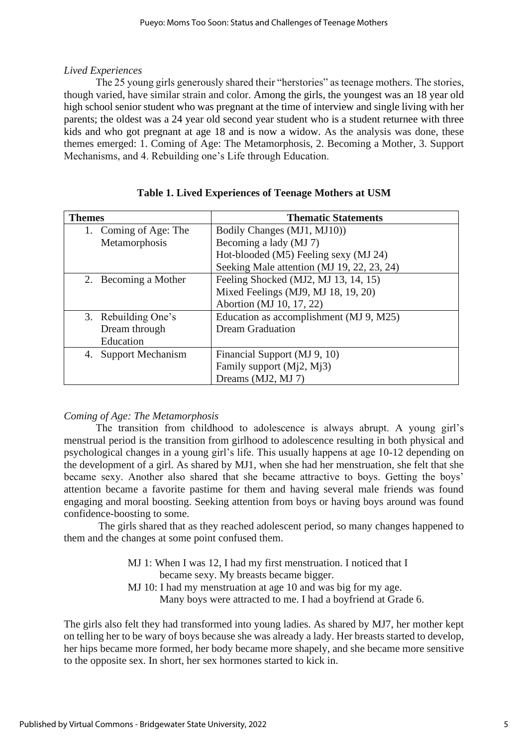## *Lived Experiences*

The 25 young girls generously shared their "herstories" as teenage mothers. The stories, though varied, have similar strain and color. Among the girls, the youngest was an 18 year old high school senior student who was pregnant at the time of interview and single living with her parents; the oldest was a 24 year old second year student who is a student returnee with three kids and who got pregnant at age 18 and is now a widow. As the analysis was done, these themes emerged: 1. Coming of Age: The Metamorphosis, 2. Becoming a Mother, 3. Support Mechanisms, and 4. Rebuilding one's Life through Education.

| <b>Themes</b>         | <b>Thematic Statements</b>                 |
|-----------------------|--------------------------------------------|
| 1. Coming of Age: The | Bodily Changes (MJ1, MJ10))                |
| Metamorphosis         | Becoming a lady (MJ 7)                     |
|                       | Hot-blooded (M5) Feeling sexy (MJ 24)      |
|                       | Seeking Male attention (MJ 19, 22, 23, 24) |
| 2. Becoming a Mother  | Feeling Shocked (MJ2, MJ 13, 14, 15)       |
|                       | Mixed Feelings (MJ9, MJ 18, 19, 20)        |
|                       | Abortion (MJ 10, 17, 22)                   |
| 3. Rebuilding One's   | Education as accomplishment (MJ 9, M25)    |
| Dream through         | <b>Dream Graduation</b>                    |
| Education             |                                            |
| 4. Support Mechanism  | Financial Support (MJ 9, 10)               |
|                       | Family support $(Mi2, Mi3)$                |
|                       | Dreams (MJ2, MJ 7)                         |

## **Table 1. Lived Experiences of Teenage Mothers at USM**

## *Coming of Age: The Metamorphosis*

The transition from childhood to adolescence is always abrupt. A young girl's menstrual period is the transition from girlhood to adolescence resulting in both physical and psychological changes in a young girl's life. This usually happens at age 10-12 depending on the development of a girl. As shared by MJ1, when she had her menstruation, she felt that she became sexy. Another also shared that she became attractive to boys. Getting the boys' attention became a favorite pastime for them and having several male friends was found engaging and moral boosting. Seeking attention from boys or having boys around was found confidence-boosting to some.

The girls shared that as they reached adolescent period, so many changes happened to them and the changes at some point confused them.

> MJ 1: When I was 12, I had my first menstruation. I noticed that I became sexy. My breasts became bigger. MJ 10: I had my menstruation at age 10 and was big for my age.

Many boys were attracted to me. I had a boyfriend at Grade 6.

The girls also felt they had transformed into young ladies. As shared by MJ7, her mother kept on telling her to be wary of boys because she was already a lady. Her breasts started to develop, her hips became more formed, her body became more shapely, and she became more sensitive to the opposite sex. In short, her sex hormones started to kick in.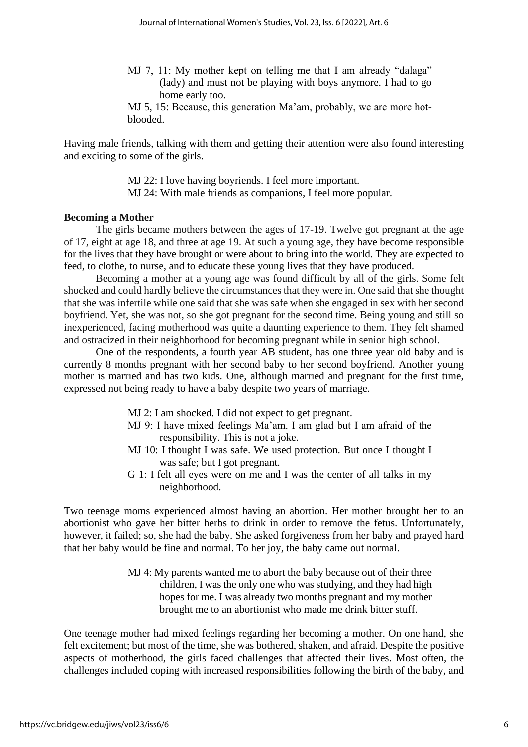- MJ 7, 11: My mother kept on telling me that I am already "dalaga" (lady) and must not be playing with boys anymore. I had to go home early too.
- MJ 5, 15: Because, this generation Ma'am, probably, we are more hotblooded.

Having male friends, talking with them and getting their attention were also found interesting and exciting to some of the girls.

> MJ 22: I love having boyriends. I feel more important. MJ 24: With male friends as companions, I feel more popular.

#### **Becoming a Mother**

The girls became mothers between the ages of 17-19. Twelve got pregnant at the age of 17, eight at age 18, and three at age 19. At such a young age, they have become responsible for the lives that they have brought or were about to bring into the world. They are expected to feed, to clothe, to nurse, and to educate these young lives that they have produced.

Becoming a mother at a young age was found difficult by all of the girls. Some felt shocked and could hardly believe the circumstances that they were in. One said that she thought that she was infertile while one said that she was safe when she engaged in sex with her second boyfriend. Yet, she was not, so she got pregnant for the second time. Being young and still so inexperienced, facing motherhood was quite a daunting experience to them. They felt shamed and ostracized in their neighborhood for becoming pregnant while in senior high school.

One of the respondents, a fourth year AB student, has one three year old baby and is currently 8 months pregnant with her second baby to her second boyfriend. Another young mother is married and has two kids. One, although married and pregnant for the first time, expressed not being ready to have a baby despite two years of marriage.

- MJ 2: I am shocked. I did not expect to get pregnant.
- MJ 9: I have mixed feelings Ma'am. I am glad but I am afraid of the responsibility. This is not a joke.
- MJ 10: I thought I was safe. We used protection. But once I thought I was safe; but I got pregnant.
- G 1: I felt all eyes were on me and I was the center of all talks in my neighborhood.

Two teenage moms experienced almost having an abortion. Her mother brought her to an abortionist who gave her bitter herbs to drink in order to remove the fetus. Unfortunately, however, it failed; so, she had the baby. She asked forgiveness from her baby and prayed hard that her baby would be fine and normal. To her joy, the baby came out normal.

> MJ 4: My parents wanted me to abort the baby because out of their three children, I was the only one who was studying, and they had high hopes for me. I was already two months pregnant and my mother brought me to an abortionist who made me drink bitter stuff.

One teenage mother had mixed feelings regarding her becoming a mother. On one hand, she felt excitement; but most of the time, she was bothered, shaken, and afraid. Despite the positive aspects of motherhood, the girls faced challenges that affected their lives. Most often, the challenges included coping with increased responsibilities following the birth of the baby, and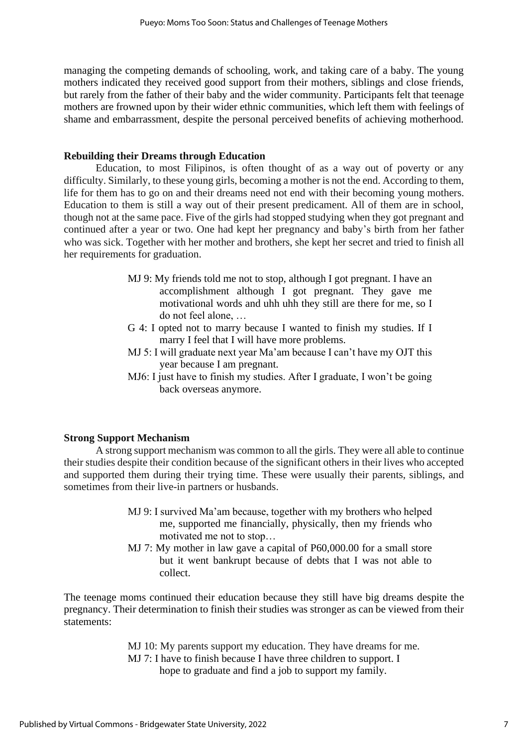managing the competing demands of schooling, work, and taking care of a baby. The young mothers indicated they received good support from their mothers, siblings and close friends, but rarely from the father of their baby and the wider community. Participants felt that teenage mothers are frowned upon by their wider ethnic communities, which left them with feelings of shame and embarrassment, despite the personal perceived benefits of achieving motherhood.

## **Rebuilding their Dreams through Education**

Education, to most Filipinos, is often thought of as a way out of poverty or any difficulty. Similarly, to these young girls, becoming a mother is not the end. According to them, life for them has to go on and their dreams need not end with their becoming young mothers. Education to them is still a way out of their present predicament. All of them are in school, though not at the same pace. Five of the girls had stopped studying when they got pregnant and continued after a year or two. One had kept her pregnancy and baby's birth from her father who was sick. Together with her mother and brothers, she kept her secret and tried to finish all her requirements for graduation.

- MJ 9: My friends told me not to stop, although I got pregnant. I have an accomplishment although I got pregnant. They gave me motivational words and uhh uhh they still are there for me, so I do not feel alone, …
- G 4: I opted not to marry because I wanted to finish my studies. If I marry I feel that I will have more problems.
- MJ 5: I will graduate next year Ma'am because I can't have my OJT this year because I am pregnant.
- MJ6: I just have to finish my studies. After I graduate, I won't be going back overseas anymore.

## **Strong Support Mechanism**

A strong support mechanism was common to all the girls. They were all able to continue their studies despite their condition because of the significant others in their lives who accepted and supported them during their trying time. These were usually their parents, siblings, and sometimes from their live-in partners or husbands.

- MJ 9: I survived Ma'am because, together with my brothers who helped me, supported me financially, physically, then my friends who motivated me not to stop…
- MJ 7: My mother in law gave a capital of P60,000.00 for a small store but it went bankrupt because of debts that I was not able to collect.

The teenage moms continued their education because they still have big dreams despite the pregnancy. Their determination to finish their studies was stronger as can be viewed from their statements:

> MJ 10: My parents support my education. They have dreams for me. MJ 7: I have to finish because I have three children to support. I hope to graduate and find a job to support my family.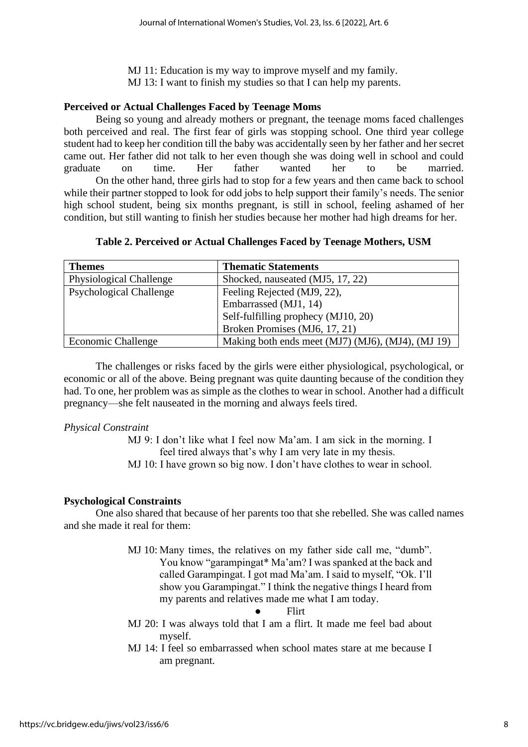MJ 11: Education is my way to improve myself and my family. MJ 13: I want to finish my studies so that I can help my parents.

## **Perceived or Actual Challenges Faced by Teenage Moms**

Being so young and already mothers or pregnant, the teenage moms faced challenges both perceived and real. The first fear of girls was stopping school. One third year college student had to keep her condition till the baby was accidentally seen by her father and her secret came out. Her father did not talk to her even though she was doing well in school and could graduate on time. Her father wanted her to be married. On the other hand, three girls had to stop for a few years and then came back to school while their partner stopped to look for odd jobs to help support their family's needs. The senior high school student, being six months pregnant, is still in school, feeling ashamed of her condition, but still wanting to finish her studies because her mother had high dreams for her.

| Table 2. Perceived or Actual Challenges Faced by Teenage Mothers, USM |  |  |
|-----------------------------------------------------------------------|--|--|
|-----------------------------------------------------------------------|--|--|

| <b>Themes</b>                  | <b>Thematic Statements</b>                        |
|--------------------------------|---------------------------------------------------|
| <b>Physiological Challenge</b> | Shocked, nauseated (MJ5, 17, 22)                  |
| <b>Psychological Challenge</b> | Feeling Rejected (MJ9, 22),                       |
|                                | Embarrassed (MJ1, 14)                             |
|                                | Self-fulfilling prophecy (MJ10, 20)               |
|                                | Broken Promises (MJ6, 17, 21)                     |
| <b>Economic Challenge</b>      | Making both ends meet (MJ7) (MJ6), (MJ4), (MJ 19) |

The challenges or risks faced by the girls were either physiological, psychological, or economic or all of the above. Being pregnant was quite daunting because of the condition they had. To one, her problem was as simple as the clothes to wear in school. Another had a difficult pregnancy—she felt nauseated in the morning and always feels tired.

## *Physical Constraint*

MJ 9: I don't like what I feel now Ma'am. I am sick in the morning. I feel tired always that's why I am very late in my thesis. MJ 10: I have grown so big now. I don't have clothes to wear in school.

## **Psychological Constraints**

One also shared that because of her parents too that she rebelled. She was called names and she made it real for them:

> MJ 10: Many times, the relatives on my father side call me, "dumb". You know "garampingat\* Ma'am? I was spanked at the back and called Garampingat. I got mad Ma'am. I said to myself, "Ok. I'll show you Garampingat." I think the negative things I heard from my parents and relatives made me what I am today.

## ● Flirt

- MJ 20: I was always told that I am a flirt. It made me feel bad about myself.
- MJ 14: I feel so embarrassed when school mates stare at me because I am pregnant.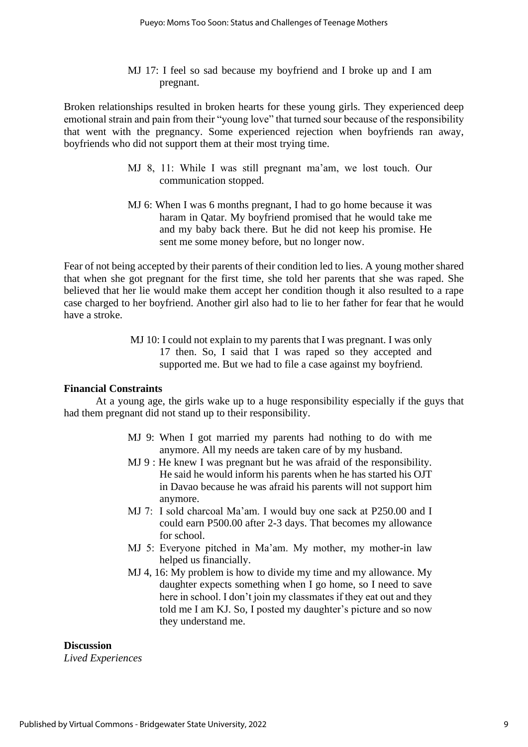## MJ 17: I feel so sad because my boyfriend and I broke up and I am pregnant.

Broken relationships resulted in broken hearts for these young girls. They experienced deep emotional strain and pain from their "young love" that turned sour because of the responsibility that went with the pregnancy. Some experienced rejection when boyfriends ran away, boyfriends who did not support them at their most trying time.

- MJ 8, 11: While I was still pregnant ma'am, we lost touch. Our communication stopped.
- MJ 6: When I was 6 months pregnant, I had to go home because it was haram in Qatar. My boyfriend promised that he would take me and my baby back there. But he did not keep his promise. He sent me some money before, but no longer now.

Fear of not being accepted by their parents of their condition led to lies. A young mother shared that when she got pregnant for the first time, she told her parents that she was raped. She believed that her lie would make them accept her condition though it also resulted to a rape case charged to her boyfriend. Another girl also had to lie to her father for fear that he would have a stroke.

> MJ 10: I could not explain to my parents that I was pregnant. I was only 17 then. So, I said that I was raped so they accepted and supported me. But we had to file a case against my boyfriend.

## **Financial Constraints**

At a young age, the girls wake up to a huge responsibility especially if the guys that had them pregnant did not stand up to their responsibility.

- MJ 9: When I got married my parents had nothing to do with me anymore. All my needs are taken care of by my husband.
- MJ 9 : He knew I was pregnant but he was afraid of the responsibility. He said he would inform his parents when he has started his OJT in Davao because he was afraid his parents will not support him anymore.
- MJ 7: I sold charcoal Ma'am. I would buy one sack at P250.00 and I could earn P500.00 after 2-3 days. That becomes my allowance for school.
- MJ 5: Everyone pitched in Ma'am. My mother, my mother-in law helped us financially.
- MJ 4, 16: My problem is how to divide my time and my allowance. My daughter expects something when I go home, so I need to save here in school. I don't join my classmates if they eat out and they told me I am KJ. So, I posted my daughter's picture and so now they understand me.

## **Discussion**

*Lived Experiences*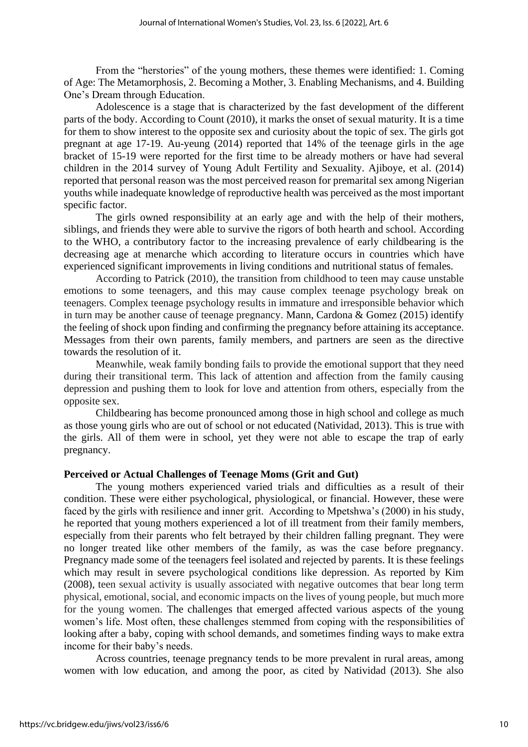From the "herstories" of the young mothers, these themes were identified: 1. Coming of Age: The Metamorphosis, 2. Becoming a Mother, 3. Enabling Mechanisms, and 4. Building One's Dream through Education.

Adolescence is a stage that is characterized by the fast development of the different parts of the body. According to Count (2010), it marks the onset of sexual maturity. It is a time for them to show interest to the opposite sex and curiosity about the topic of sex. The girls got pregnant at age 17-19. Au-yeung (2014) reported that 14% of the teenage girls in the age bracket of 15-19 were reported for the first time to be already mothers or have had several children in the 2014 survey of Young Adult Fertility and Sexuality. Ajiboye, et al. (2014) reported that personal reason was the most perceived reason for premarital sex among Nigerian youths while inadequate knowledge of reproductive health was perceived as the most important specific factor.

The girls owned responsibility at an early age and with the help of their mothers, siblings, and friends they were able to survive the rigors of both hearth and school. According to the WHO, a contributory factor to the increasing prevalence of early childbearing is the decreasing age at menarche which according to literature occurs in countries which have experienced significant improvements in living conditions and nutritional status of females.

According to Patrick (2010), the transition from childhood to teen may cause unstable emotions to some teenagers, and this may cause complex teenage psychology break on teenagers. Complex teenage psychology results in immature and irresponsible behavior which in turn may be another cause of teenage pregnancy. Mann, Cardona & Gomez (2015) identify the feeling of shock upon finding and confirming the pregnancy before attaining its acceptance. Messages from their own parents, family members, and partners are seen as the directive towards the resolution of it.

Meanwhile, weak family bonding fails to provide the emotional support that they need during their transitional term. This lack of attention and affection from the family causing depression and pushing them to look for love and attention from others, especially from the opposite sex.

Childbearing has become pronounced among those in high school and college as much as those young girls who are out of school or not educated (Natividad, 2013). This is true with the girls. All of them were in school, yet they were not able to escape the trap of early pregnancy.

#### **Perceived or Actual Challenges of Teenage Moms (Grit and Gut)**

The young mothers experienced varied trials and difficulties as a result of their condition. These were either psychological, physiological, or financial. However, these were faced by the girls with resilience and inner grit. According to Mpetshwa's (2000) in his study, he reported that young mothers experienced a lot of ill treatment from their family members, especially from their parents who felt betrayed by their children falling pregnant. They were no longer treated like other members of the family, as was the case before pregnancy. Pregnancy made some of the teenagers feel isolated and rejected by parents. It is these feelings which may result in severe psychological conditions like depression. As reported by Kim (2008), teen sexual activity is usually associated with negative outcomes that bear long term physical, emotional, social, and economic impacts on the lives of young people, but much more for the young women. The challenges that emerged affected various aspects of the young women's life. Most often, these challenges stemmed from coping with the responsibilities of looking after a baby, coping with school demands, and sometimes finding ways to make extra income for their baby's needs.

Across countries, teenage pregnancy tends to be more prevalent in rural areas, among women with low education, and among the poor, as cited by Natividad (2013). She also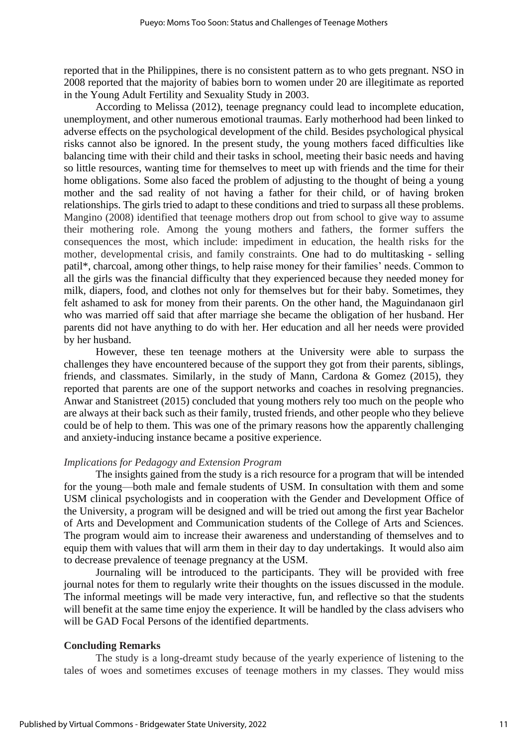reported that in the Philippines, there is no consistent pattern as to who gets pregnant. NSO in 2008 reported that the majority of babies born to women under 20 are illegitimate as reported in the Young Adult Fertility and Sexuality Study in 2003.

According to Melissa (2012), teenage pregnancy could lead to incomplete education, unemployment, and other numerous emotional traumas. Early motherhood had been linked to adverse effects on the psychological development of the child. Besides psychological physical risks cannot also be ignored. In the present study, the young mothers faced difficulties like balancing time with their child and their tasks in school, meeting their basic needs and having so little resources, wanting time for themselves to meet up with friends and the time for their home obligations. Some also faced the problem of adjusting to the thought of being a young mother and the sad reality of not having a father for their child, or of having broken relationships. The girls tried to adapt to these conditions and tried to surpass all these problems. Mangino (2008) identified that teenage mothers drop out from school to give way to assume their mothering role. Among the young mothers and fathers, the former suffers the consequences the most, which include: impediment in education, the health risks for the mother, developmental crisis, and family constraints. One had to do multitasking - selling patil\*, charcoal, among other things, to help raise money for their families' needs. Common to all the girls was the financial difficulty that they experienced because they needed money for milk, diapers, food, and clothes not only for themselves but for their baby. Sometimes, they felt ashamed to ask for money from their parents. On the other hand, the Maguindanaon girl who was married off said that after marriage she became the obligation of her husband. Her parents did not have anything to do with her. Her education and all her needs were provided by her husband.

However, these ten teenage mothers at the University were able to surpass the challenges they have encountered because of the support they got from their parents, siblings, friends, and classmates. Similarly, in the study of Mann, Cardona & Gomez (2015), they reported that parents are one of the support networks and coaches in resolving pregnancies. Anwar and Stanistreet (2015) concluded that young mothers rely too much on the people who are always at their back such as their family, trusted friends, and other people who they believe could be of help to them. This was one of the primary reasons how the apparently challenging and anxiety-inducing instance became a positive experience.

## *Implications for Pedagogy and Extension Program*

The insights gained from the study is a rich resource for a program that will be intended for the young—both male and female students of USM. In consultation with them and some USM clinical psychologists and in cooperation with the Gender and Development Office of the University, a program will be designed and will be tried out among the first year Bachelor of Arts and Development and Communication students of the College of Arts and Sciences. The program would aim to increase their awareness and understanding of themselves and to equip them with values that will arm them in their day to day undertakings. It would also aim to decrease prevalence of teenage pregnancy at the USM.

Journaling will be introduced to the participants. They will be provided with free journal notes for them to regularly write their thoughts on the issues discussed in the module. The informal meetings will be made very interactive, fun, and reflective so that the students will benefit at the same time enjoy the experience. It will be handled by the class advisers who will be GAD Focal Persons of the identified departments.

## **Concluding Remarks**

The study is a long-dreamt study because of the yearly experience of listening to the tales of woes and sometimes excuses of teenage mothers in my classes. They would miss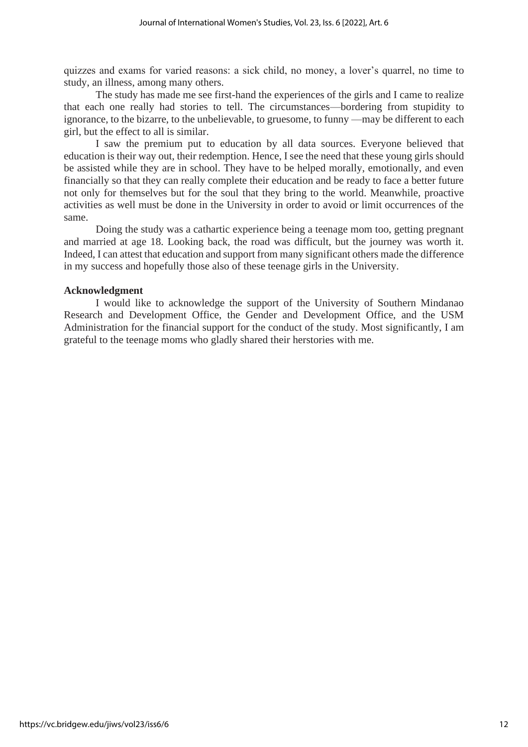quizzes and exams for varied reasons: a sick child, no money, a lover's quarrel, no time to study, an illness, among many others.

The study has made me see first-hand the experiences of the girls and I came to realize that each one really had stories to tell. The circumstances—bordering from stupidity to ignorance, to the bizarre, to the unbelievable, to gruesome, to funny —may be different to each girl, but the effect to all is similar.

I saw the premium put to education by all data sources. Everyone believed that education is their way out, their redemption. Hence, I see the need that these young girls should be assisted while they are in school. They have to be helped morally, emotionally, and even financially so that they can really complete their education and be ready to face a better future not only for themselves but for the soul that they bring to the world. Meanwhile, proactive activities as well must be done in the University in order to avoid or limit occurrences of the same.

Doing the study was a cathartic experience being a teenage mom too, getting pregnant and married at age 18. Looking back, the road was difficult, but the journey was worth it. Indeed, I can attest that education and support from many significant others made the difference in my success and hopefully those also of these teenage girls in the University.

## **Acknowledgment**

I would like to acknowledge the support of the University of Southern Mindanao Research and Development Office, the Gender and Development Office, and the USM Administration for the financial support for the conduct of the study. Most significantly, I am grateful to the teenage moms who gladly shared their herstories with me.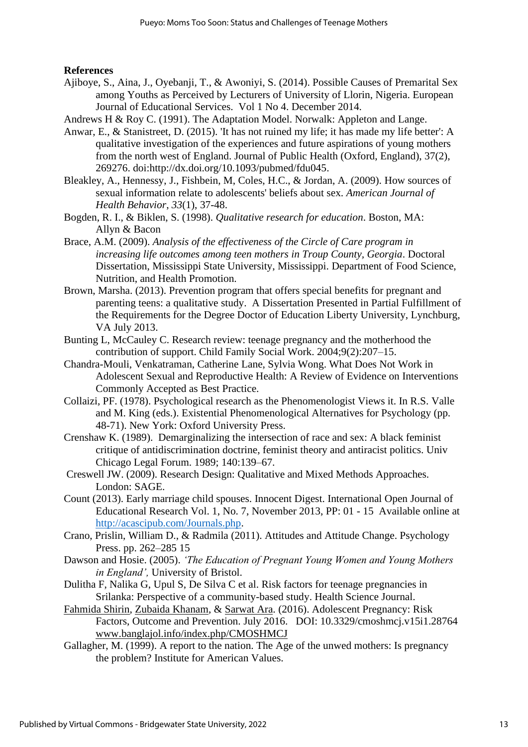## **References**

- Ajiboye, S., Aina, J., Oyebanji, T., & Awoniyi, S. (2014). Possible Causes of Premarital Sex among Youths as Perceived by Lecturers of University of Llorin, Nigeria. European Journal of Educational Services. Vol 1 No 4. December 2014.
- Andrews H & Roy C. (1991). The Adaptation Model. Norwalk: Appleton and Lange.
- Anwar, E., & Stanistreet, D. (2015). 'It has not ruined my life; it has made my life better': A qualitative investigation of the experiences and future aspirations of young mothers from the north west of England. Journal of Public Health (Oxford, England), 37(2), 269276. doi:http://dx.doi.org/10.1093/pubmed/fdu045.
- Bleakley, A., Hennessy, J., Fishbein, M, Coles, H.C., & Jordan, A. (2009). How sources of sexual information relate to adolescents' beliefs about sex. *American Journal of Health Behavior*, *33*(1), 37-48.
- Bogden, R. I., & Biklen, S. (1998). *Qualitative research for education*. Boston, MA: Allyn & Bacon
- Brace, A.M. (2009). *Analysis of the effectiveness of the Circle of Care program in increasing life outcomes among teen mothers in Troup County, Georgia*. Doctoral Dissertation, Mississippi State University, Mississippi. Department of Food Science, Nutrition, and Health Promotion.
- Brown, Marsha. (2013). Prevention program that offers special benefits for pregnant and parenting teens: a qualitative study. A Dissertation Presented in Partial Fulfillment of the Requirements for the Degree Doctor of Education Liberty University, Lynchburg, VA July 2013.
- Bunting L, McCauley C. Research review: teenage pregnancy and the motherhood the contribution of support. Child Family Social Work. 2004;9(2):207–15.
- Chandra-Mouli, Venkatraman, Catherine Lane, Sylvia Wong. What Does Not Work in Adolescent Sexual and Reproductive Health: A Review of Evidence on Interventions Commonly Accepted as Best Practice.
- Collaizi, PF. (1978). Psychological research as the Phenomenologist Views it. In R.S. Valle and M. King (eds.). Existential Phenomenological Alternatives for Psychology (pp. 48-71). New York: Oxford University Press.
- Crenshaw K. (1989). Demarginalizing the intersection of race and sex: A black feminist critique of antidiscrimination doctrine, feminist theory and antiracist politics. Univ Chicago Legal Forum. 1989; 140:139–67.
- Creswell JW. (2009). Research Design: Qualitative and Mixed Methods Approaches. London: SAGE.
- Count (2013). Early marriage child spouses. Innocent Digest. International Open Journal of Educational Research Vol. 1, No. 7, November 2013, PP: 01 - 15 Available online at http://acascipub.com/Journals.php.
- Crano, Prislin, William D., & Radmila (2011). Attitudes and Attitude Change. Psychology Press. pp. 262–285 15
- Dawson and Hosie. (2005). *'The Education of Pregnant Young Women and Young Mothers in England',* University of Bristol.
- Dulitha F, Nalika G, Upul S, De Silva C et al. Risk factors for teenage pregnancies in Srilanka: Perspective of a community-based study. Health Science Journal.
- Fahmida Shirin, Zubaida Khanam, & Sarwat Ara. (2016). Adolescent Pregnancy: Risk Factors, Outcome and Prevention. July 2016. DOI: 10.3329/cmoshmcj.v15i1.28764 www.banglajol.info/index.php/CMOSHMCJ
- Gallagher, M. (1999). A report to the nation. The Age of the unwed mothers: Is pregnancy the problem? Institute for American Values.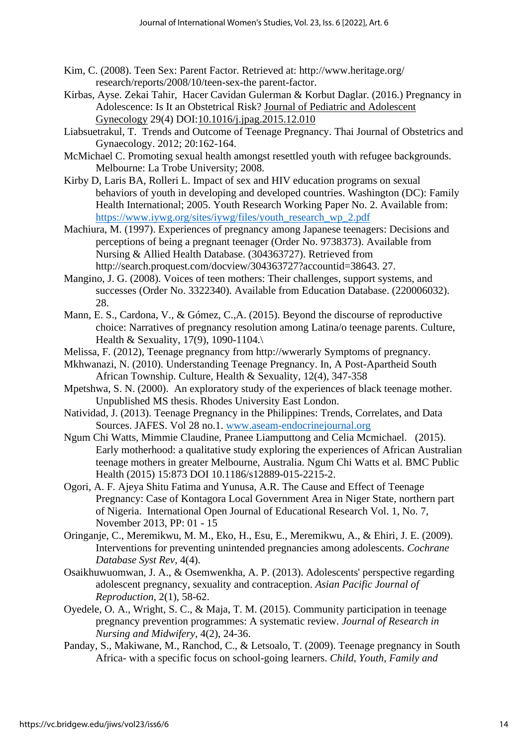- Kim, C. (2008). Teen Sex: Parent Factor. Retrieved at: http://www.heritage.org/ research/reports/2008/10/teen-sex-the parent-factor.
- Kirbas, Ayse. Zekai Tahir, Hacer Cavidan Gulerman & Korbut Daglar. (2016.) Pregnancy in Adolescence: Is It an Obstetrical Risk? Journal of Pediatric and Adolescent Gynecology 29(4) DOI:10.1016/j.jpag.2015.12.010
- Liabsuetrakul, T. Trends and Outcome of Teenage Pregnancy. Thai Journal of Obstetrics and Gynaecology. 2012; 20:162-164.
- McMichael C. Promoting sexual health amongst resettled youth with refugee backgrounds. Melbourne: La Trobe University; 2008.
- Kirby D, Laris BA, Rolleri L. Impact of sex and HIV education programs on sexual behaviors of youth in developing and developed countries. Washington (DC): Family Health International; 2005. Youth Research Working Paper No. 2. Available from: https://www.iywg.org/sites/iywg/files/youth\_research\_wp\_2.pdf
- Machiura, M. (1997). Experiences of pregnancy among Japanese teenagers: Decisions and perceptions of being a pregnant teenager (Order No. 9738373). Available from Nursing & Allied Health Database. (304363727). Retrieved from http://search.proquest.com/docview/304363727?accountid=38643. 27.
- Mangino, J. G. (2008). Voices of teen mothers: Their challenges, support systems, and successes (Order No. 3322340). Available from Education Database. (220006032). 28.
- Mann, E. S., Cardona, V., & Gómez, C.,A. (2015). Beyond the discourse of reproductive choice: Narratives of pregnancy resolution among Latina/o teenage parents. Culture, Health & Sexuality, 17(9), 1090-1104.\
- Melissa, F. (2012), Teenage pregnancy from http://wwerarly Symptoms of pregnancy.
- Mkhwanazi, N. (2010). Understanding Teenage Pregnancy. In, A Post-Apartheid South African Township. Culture, Health & Sexuality, 12(4), 347-358
- Mpetshwa, S. N. (2000). An exploratory study of the experiences of black teenage mother. Unpublished MS thesis. Rhodes University East London.
- Natividad, J. (2013). Teenage Pregnancy in the Philippines: Trends, Correlates, and Data Sources. JAFES. Vol 28 no.1. www.aseam-endocrinejournal.org
- Ngum Chi Watts, Mimmie Claudine, Pranee Liamputtong and Celia Mcmichael. (2015). Early motherhood: a qualitative study exploring the experiences of African Australian teenage mothers in greater Melbourne, Australia. Ngum Chi Watts et al. BMC Public Health (2015) 15:873 DOI 10.1186/s12889-015-2215-2.
- Ogori, A. F. Ajeya Shitu Fatima and Yunusa, A.R. The Cause and Effect of Teenage Pregnancy: Case of Kontagora Local Government Area in Niger State, northern part of Nigeria. International Open Journal of Educational Research Vol. 1, No. 7, November 2013, PP: 01 - 15
- Oringanje, C., Meremikwu, M. M., Eko, H., Esu, E., Meremikwu, A., & Ehiri, J. E. (2009). Interventions for preventing unintended pregnancies among adolescents. *Cochrane Database Syst Rev,* 4(4).
- Osaikhuwuomwan, J. A., & Osemwenkha, A. P. (2013). Adolescents' perspective regarding adolescent pregnancy, sexuality and contraception. *Asian Pacific Journal of Reproduction,* 2(1), 58-62.
- Oyedele, O. A., Wright, S. C., & Maja, T. M. (2015). Community participation in teenage pregnancy prevention programmes: A systematic review. *Journal of Research in Nursing and Midwifery,* 4(2), 24-36.
- Panday, S., Makiwane, M., Ranchod, C., & Letsoalo, T. (2009). Teenage pregnancy in South Africa- with a specific focus on school-going learners. *Child, Youth, Family and*